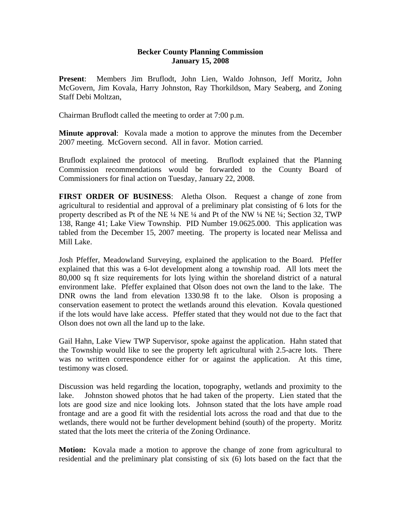## **Becker County Planning Commission January 15, 2008**

**Present**: Members Jim Bruflodt, John Lien, Waldo Johnson, Jeff Moritz, John McGovern, Jim Kovala, Harry Johnston, Ray Thorkildson, Mary Seaberg, and Zoning Staff Debi Moltzan,

Chairman Bruflodt called the meeting to order at 7:00 p.m.

**Minute approval:** Kovala made a motion to approve the minutes from the December 2007 meeting. McGovern second. All in favor. Motion carried.

Bruflodt explained the protocol of meeting. Bruflodt explained that the Planning Commission recommendations would be forwarded to the County Board of Commissioners for final action on Tuesday, January 22, 2008.

**FIRST ORDER OF BUSINESS**: Aletha Olson. Request a change of zone from agricultural to residential and approval of a preliminary plat consisting of 6 lots for the property described as Pt of the NE ¼ NE ¼ and Pt of the NW ¼ NE ¼; Section 32, TWP 138, Range 41; Lake View Township. PID Number 19.0625.000. This application was tabled from the December 15, 2007 meeting. The property is located near Melissa and Mill Lake.

Josh Pfeffer, Meadowland Surveying, explained the application to the Board. Pfeffer explained that this was a 6-lot development along a township road. All lots meet the 80,000 sq ft size requirements for lots lying within the shoreland district of a natural environment lake. Pfeffer explained that Olson does not own the land to the lake. The DNR owns the land from elevation 1330.98 ft to the lake. Olson is proposing a conservation easement to protect the wetlands around this elevation. Kovala questioned if the lots would have lake access. Pfeffer stated that they would not due to the fact that Olson does not own all the land up to the lake.

Gail Hahn, Lake View TWP Supervisor, spoke against the application. Hahn stated that the Township would like to see the property left agricultural with 2.5-acre lots. There was no written correspondence either for or against the application. At this time, testimony was closed.

Discussion was held regarding the location, topography, wetlands and proximity to the lake. Johnston showed photos that he had taken of the property. Lien stated that the lots are good size and nice looking lots. Johnson stated that the lots have ample road frontage and are a good fit with the residential lots across the road and that due to the wetlands, there would not be further development behind (south) of the property. Moritz stated that the lots meet the criteria of the Zoning Ordinance.

**Motion:** Kovala made a motion to approve the change of zone from agricultural to residential and the preliminary plat consisting of six (6) lots based on the fact that the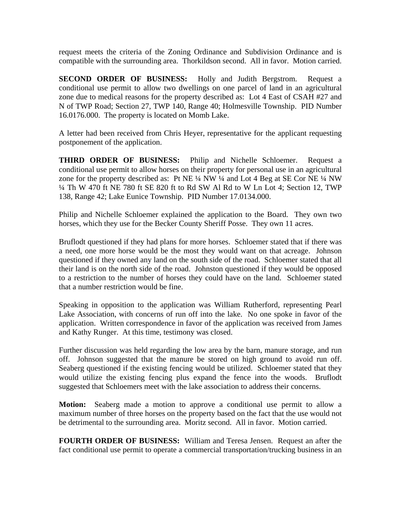request meets the criteria of the Zoning Ordinance and Subdivision Ordinance and is compatible with the surrounding area. Thorkildson second. All in favor. Motion carried.

**SECOND ORDER OF BUSINESS:** Holly and Judith Bergstrom. Request a conditional use permit to allow two dwellings on one parcel of land in an agricultural zone due to medical reasons for the property described as: Lot 4 East of CSAH #27 and N of TWP Road; Section 27, TWP 140, Range 40; Holmesville Township. PID Number 16.0176.000. The property is located on Momb Lake.

A letter had been received from Chris Heyer, representative for the applicant requesting postponement of the application.

**THIRD ORDER OF BUSINESS:** Philip and Nichelle Schloemer. Request a conditional use permit to allow horses on their property for personal use in an agricultural zone for the property described as: Pt NE  $\frac{1}{4}$  NW  $\frac{1}{4}$  and Lot 4 Beg at SE Cor NE  $\frac{1}{4}$  NW ¼ Th W 470 ft NE 780 ft SE 820 ft to Rd SW Al Rd to W Ln Lot 4; Section 12, TWP 138, Range 42; Lake Eunice Township. PID Number 17.0134.000.

Philip and Nichelle Schloemer explained the application to the Board. They own two horses, which they use for the Becker County Sheriff Posse. They own 11 acres.

Bruflodt questioned if they had plans for more horses. Schloemer stated that if there was a need, one more horse would be the most they would want on that acreage. Johnson questioned if they owned any land on the south side of the road. Schloemer stated that all their land is on the north side of the road. Johnston questioned if they would be opposed to a restriction to the number of horses they could have on the land. Schloemer stated that a number restriction would be fine.

Speaking in opposition to the application was William Rutherford, representing Pearl Lake Association, with concerns of run off into the lake. No one spoke in favor of the application. Written correspondence in favor of the application was received from James and Kathy Runger. At this time, testimony was closed.

Further discussion was held regarding the low area by the barn, manure storage, and run off. Johnson suggested that the manure be stored on high ground to avoid run off. Seaberg questioned if the existing fencing would be utilized. Schloemer stated that they would utilize the existing fencing plus expand the fence into the woods. Bruflodt suggested that Schloemers meet with the lake association to address their concerns.

**Motion:** Seaberg made a motion to approve a conditional use permit to allow a maximum number of three horses on the property based on the fact that the use would not be detrimental to the surrounding area. Moritz second. All in favor. Motion carried.

**FOURTH ORDER OF BUSINESS:** William and Teresa Jensen. Request an after the fact conditional use permit to operate a commercial transportation/trucking business in an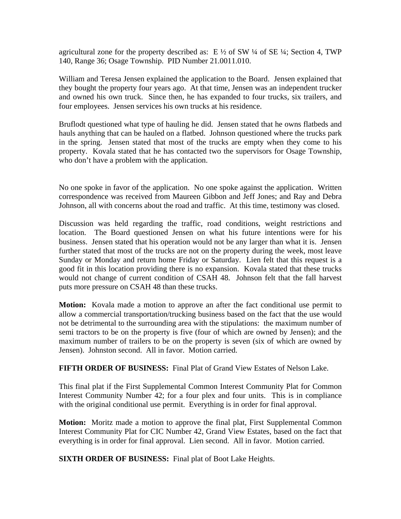agricultural zone for the property described as:  $E \frac{1}{2}$  of SW  $\frac{1}{4}$  of SE  $\frac{1}{4}$ ; Section 4, TWP 140, Range 36; Osage Township. PID Number 21.0011.010.

William and Teresa Jensen explained the application to the Board. Jensen explained that they bought the property four years ago. At that time, Jensen was an independent trucker and owned his own truck. Since then, he has expanded to four trucks, six trailers, and four employees. Jensen services his own trucks at his residence.

Bruflodt questioned what type of hauling he did. Jensen stated that he owns flatbeds and hauls anything that can be hauled on a flatbed. Johnson questioned where the trucks park in the spring. Jensen stated that most of the trucks are empty when they come to his property. Kovala stated that he has contacted two the supervisors for Osage Township, who don't have a problem with the application.

No one spoke in favor of the application. No one spoke against the application. Written correspondence was received from Maureen Gibbon and Jeff Jones; and Ray and Debra Johnson, all with concerns about the road and traffic. At this time, testimony was closed.

Discussion was held regarding the traffic, road conditions, weight restrictions and location. The Board questioned Jensen on what his future intentions were for his business. Jensen stated that his operation would not be any larger than what it is. Jensen further stated that most of the trucks are not on the property during the week, most leave Sunday or Monday and return home Friday or Saturday. Lien felt that this request is a good fit in this location providing there is no expansion. Kovala stated that these trucks would not change of current condition of CSAH 48. Johnson felt that the fall harvest puts more pressure on CSAH 48 than these trucks.

**Motion:** Kovala made a motion to approve an after the fact conditional use permit to allow a commercial transportation/trucking business based on the fact that the use would not be detrimental to the surrounding area with the stipulations: the maximum number of semi tractors to be on the property is five (four of which are owned by Jensen); and the maximum number of trailers to be on the property is seven (six of which are owned by Jensen). Johnston second. All in favor. Motion carried.

**FIFTH ORDER OF BUSINESS:** Final Plat of Grand View Estates of Nelson Lake.

This final plat if the First Supplemental Common Interest Community Plat for Common Interest Community Number 42; for a four plex and four units. This is in compliance with the original conditional use permit. Everything is in order for final approval.

**Motion:** Moritz made a motion to approve the final plat, First Supplemental Common Interest Community Plat for CIC Number 42, Grand View Estates, based on the fact that everything is in order for final approval. Lien second. All in favor. Motion carried.

**SIXTH ORDER OF BUSINESS:** Final plat of Boot Lake Heights.